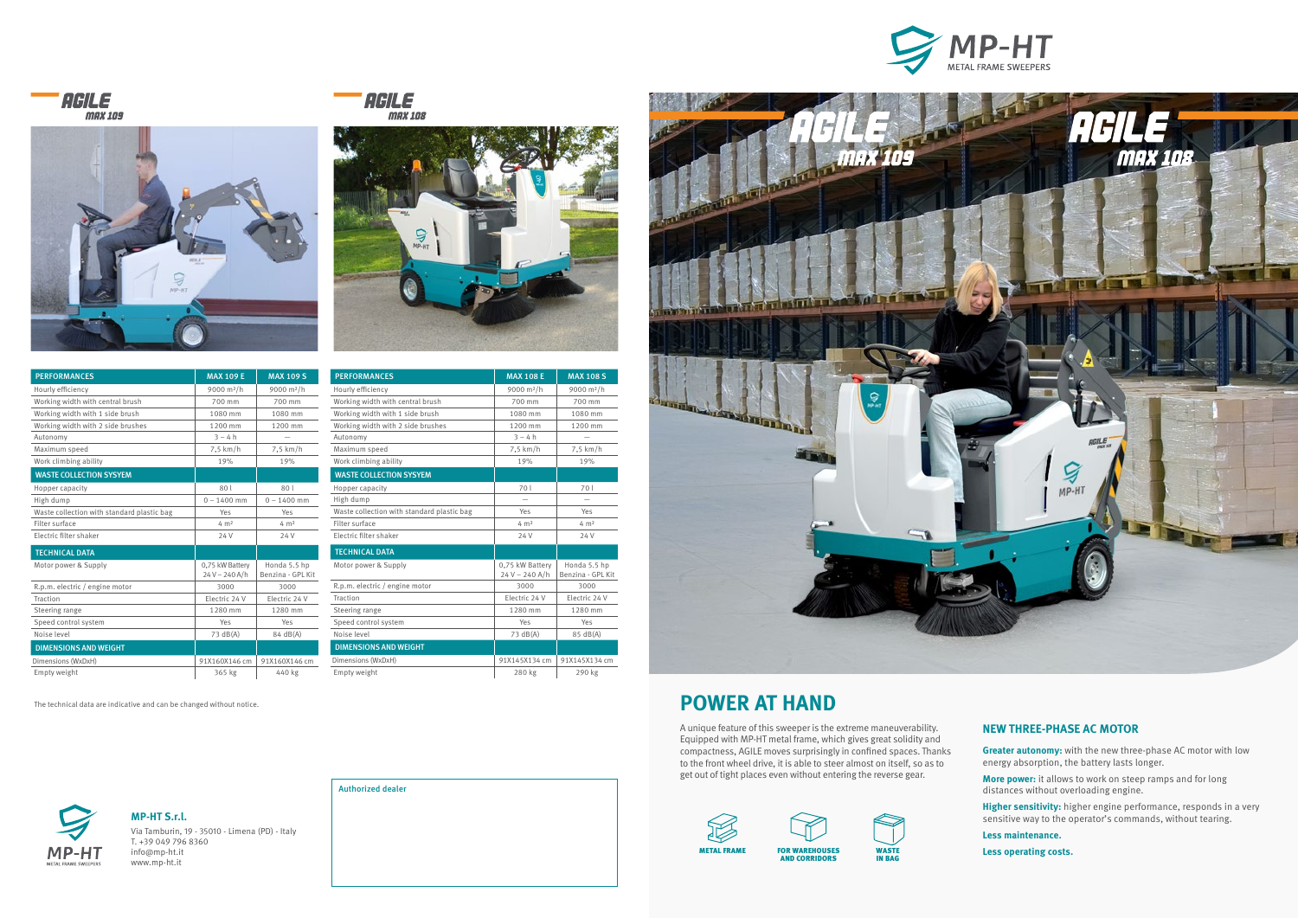The technical data are indicative and can be changed without notice.



## **NEW THREE-PHASE AC MOTOR**

**Greater autonomy:** with the new three-phase AC motor with low energy absorption, the battery lasts longer.

**More power:** it allows to work on steep ramps and for long distances without overloading engine.

**Higher sensitivity:** higher engine performance, responds in a very sensitive way to the operator's commands, without tearing.

**Less maintenance.**

**Less operating costs.**

# **POWER AT HAND**

A unique feature of this sweeper is the extreme maneuverability. Equipped with MP-HT metal frame, which gives great solidity and compactness, AGILE moves surprisingly in confined spaces. Thanks to the front wheel drive, it is able to steer almost on itself, so as to get out of tight places even without entering the reverse gear.

**MP-HT S.r.l.**  Via Tamburin, 19 - 35010 - Limena (PD) - Italy T. +39 049 796 8360 info@mp-ht.it www.mp-ht.it







| <b>PERFORMANCES</b>                        | <b>MAX 109 E</b>                  | <b>MAX 109 S</b>                  |
|--------------------------------------------|-----------------------------------|-----------------------------------|
| Hourly efficiency                          | 9000 m <sup>2</sup> /h            | 9000 m <sup>2</sup> /h            |
| Working width with central brush           | 700 mm                            | 700 mm                            |
| Working width with 1 side brush            | 1080 mm                           | 1080 mm                           |
| Working width with 2 side brushes          | 1200 mm                           | 1200 mm                           |
| Autonomy                                   | $3 - 4h$                          |                                   |
| Maximum speed                              | $7.5$ km/h                        | 7.5 km/h                          |
| Work climbing ability                      | 19%                               | 19%                               |
| <b>WASTE COLLECTION SYSYEM</b>             |                                   |                                   |
| Hopper capacity                            | 801                               | 801                               |
| High dump                                  | $0 - 1400$ mm                     | $0 - 1400$ mm                     |
| Waste collection with standard plastic bag | Yes                               | Yes                               |
| Filter surface                             | $4 \text{ m}^2$                   | $4 \text{ m}^2$                   |
| Electric filter shaker                     | 24 V                              | 24 V                              |
| <b>TECHNICAL DATA</b>                      |                                   |                                   |
| Motor power & Supply                       | 0,75 kW Battery<br>$24V - 240A/h$ | Honda 5.5 hp<br>Benzina - GPL Kit |
| R.p.m. electric / engine motor             | 3000                              | 3000                              |
| Traction                                   | Electric 24 V                     | Electric 24 V                     |
| Steering range                             | 1280 mm                           | 1280 mm                           |
| Speed control system                       | Yes                               | Yes                               |
| Noise level                                | 73 dB(A)                          | 84 dB(A)                          |
| <b>DIMENSIONS AND WEIGHT</b>               |                                   |                                   |
| Dimensions (WxDxH)                         | 91X160X146 cm                     | 91X160X146 cm                     |
| Empty weight                               | 365 kg                            | 440 kg                            |





| <b>PERFORMANCES</b>                        | <b>MAX 108 E</b>                    | <b>MAX 108 S</b>                  |
|--------------------------------------------|-------------------------------------|-----------------------------------|
| Hourly efficiency                          | 9000 m <sup>2</sup> /h              | 9000 m <sup>2</sup> /h            |
| Working width with central brush           | 700 mm                              | 700 mm                            |
| Working width with 1 side brush            | 1080 mm                             | 1080 mm                           |
| Working width with 2 side brushes          | 1200 mm                             | 1200 mm                           |
| Autonomy                                   | $3 - 4 h$                           |                                   |
| Maximum speed                              | $7,5$ km/h                          | $7,5$ km/h                        |
| Work climbing ability                      | 19%                                 | 19%                               |
| <b>WASTE COLLECTION SYSYEM</b>             |                                     |                                   |
| Hopper capacity                            | 70 l                                | 70 l                              |
| High dump                                  |                                     |                                   |
| Waste collection with standard plastic bag | Yes                                 | Yes                               |
| Filter surface                             | $4 \text{ m}^2$                     | 4 m <sup>2</sup>                  |
| Electric filter shaker                     | 24 V                                | 24 V                              |
| <b>TECHNICAL DATA</b>                      |                                     |                                   |
| Motor power & Supply                       | 0,75 kW Battery<br>$24 V - 240 A/h$ | Honda 5.5 hp<br>Benzina - GPL Kit |
| R.p.m. electric / engine motor             | 3000                                | 3000                              |
| Traction                                   | Electric 24 V                       | Electric 24 V                     |
| Steering range                             | 1280 mm                             | 1280 mm                           |
| Speed control system                       | Yes                                 | Yes                               |
| Noise level                                | 73 dB(A)                            | 85 dB(A)                          |
| <b>DIMENSIONS AND WEIGHT</b>               |                                     |                                   |
| Dimensions (WxDxH)                         | 91X145X134 cm                       | 91X145X134 cm                     |
| Empty weight                               | 280 kg                              | 290 kg                            |



AND CORRIDORS